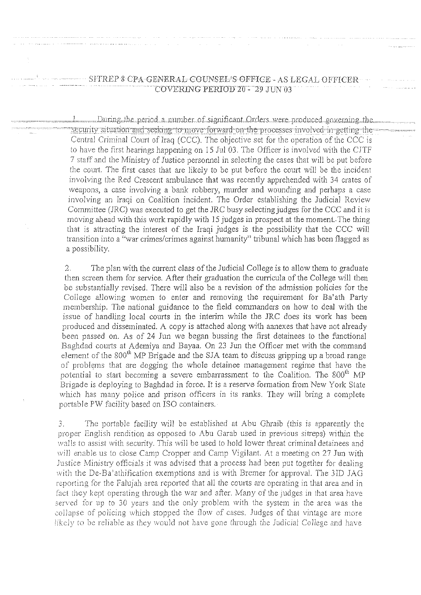## SHREP & CPA GENERAL COUNSEL'S OFFICE - AS LEGAL OFFICER COVERING PERIOD 20 - 29 JUN 03

1 During the period a number of significant Orders were produced governing the security situation and seeking to move forward on the processes involved in getting the Central Criminal Court of Iraq (CCC). The objective set for the operation of the CCC is to have the first hearings happening on 15 Jul 03. The Officer is involved with the CJTF 7 staff and the Ministry of Justice personnel in selecting the cases that will be put before the court. The first cases that are likely to be put before the court will be the incident involving the Red Crescent ambulance that was recently apprehended with 34 crates of weapons, a case involving a bank robbery, murder and wounding and perhaps a case involving an Iraqi on Coalition incident. The Order establishing the Judicial Review Committee (JRC) was executed to get the JRC busy selecting judges for the CCC and it is moving ahead with this work rapidly with 15 judges in prospect at the moment. The thing that is attracting the interest of the Iraqi judges is the possibility that the CCC will transition into a "war crimes/crimes against humanity" tribunal which has been flagged as a possibility.

The plan with the current class of the Judicial College is to allow them to graduate  $\overline{2}$ . then screen them for service. After their graduation the curricula of the College will then be substantially revised. There will also be a revision of the admission policies for the College allowing women to enter and removing the requirement for Ba'ath Party membership. The national guidance to the field commanders on how to deal with the issue of handling local courts in the interim while the JRC does its work has been produced and disseminated. A copy is attached along with annexes that have not already been passed on. As of 24 Jun we began bussing the first detainees to the functional Baghdad courts at Ademiya and Bayaa. On 23 Jun the Officer met with the command element of the 800<sup>th</sup> MP Brigade and the SJA team to discuss gripping up a broad range of problems that are dogging the whole detainee management regime that have the potential to start becoming a severe embarrassment to the Coalition. The 800<sup>th</sup> MP Brigade is deploying to Baghdad in force. It is a reserve formation from New York State which has many police and prison officers in its ranks. They will bring a complete portable PW facility based on ISO containers.

The portable facility will be established at Abu Ghraib (this is apparently the  $\mathfrak{Z}$ . proper English rendition as opposed to Abu Garab used in previous sitreps) within the walls to assist with security. This will be used to hold lower threat criminal detainees and will enable us to close Camp Cropper and Camp Vigilant. At a meeting on 27 Jun with Justice Ministry officials it was advised that a process had been put together for dealing with the De-Ba'athification exemptions and is with Bremer for approval. The 3ID JAG reporting for the Falujah area reported that all the courts are operating in that area and in fact they kept operating through the war and after. Many of the judges in that area have served for up to 30 years and the only problem with the system in the area was the collapse of policing which stopped the flow of cases. Judges of that vintage are more likely to be reliable as they would not have gone through the Judicial College and have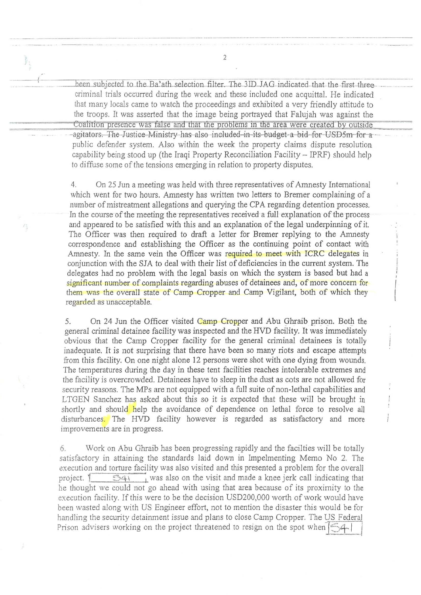been subjected to the Ba'ath selection filter. The 3ID JAG indicated that the first three criminal trials occurred during the week and these included one acquittal. He indicated that many locals came to watch the proceedings and exhibited a very friendly attitude to the troops. It was asserted that the image being portrayed that Falujah was against the Coalition presence was false and that the problems in the area were created by outside agitators. The Justice Ministry has also included in its budget a bid for USD5m for a public defender system. Also within the week the property claims dispute resolution capability being stood up (the Iraqi Property Reconciliation Facility  $-$  IPRF) should help to diffuse some of the tensions emerging in relation to property disputes.

On 25 Jun a meeting was held with three representatives of Amnesty International 4. which went for two hours. Amnesty has written two letters to Bremer complaining of a number of mistreatment allegations and querying the CPA regarding detention processes. In the course of the meeting the representatives received a full explanation of the process and appeared to be satisfied with this and an explanation of the legal underpinning of it. The Officer was then required to draft a letter for Bremer replying to the Amnesty correspondence and establishing the Officer as the continuing point of contact with Amnesty. In the same vein the Officer was required to meet with ICRC delegates in conjunction with the SJA to deal with their list of deficiencies in the current system. The delegates had no problem with the legal basis on which the system is based but had a significant number of complaints regarding abuses of detainees and, of more concern for them was the overall state of Camp Cropper and Camp Vigilant, both of which they regarded as unacceptable.

5. On 24 Jun the Officer visited Camp Cropper and Abu Ghraib prison. Both the general criminal detainee facility was inspected and the HVD facility. It was immediately obvious that the Camp Cropper facility for the general criminal detainees is totally inadequate. It is not surprising that there have been so many riots and escape attempts from this facility. On one night alone 12 persons were shot with one dying from wounds. The temperatures during the day in these tent facilities reaches intolerable extremes and the facility is overcrowded. Detainees have to sleep in the dust as cots are not allowed for security reasons. The MPs are not equipped with a full suite of non-lethal capabilities and LTGEN Sanchez has asked about this so it is expected that these will be brought in shortly and should help the avoidance of dependence on lethal force to resolve all disturbances. The HVD facility however is regarded as satisfactory and more improvements are in progress.

 $\overline{\phantom{a}}$ 

Work on Abu Ghraib has been progressing rapidly and the facilties will be totally 6. satisfactory in attaining the standards laid down in Impelmenting Memo No 2. The execution and torture facility was also visited and this presented a problem for the overall  $\overline{\odot 41}$  was also on the visit and made a knee jerk call indicating that project. Y he thought we could not go ahead with using that area because of its proximity to the execution facility. If this were to be the decision USD200,000 worth of work would have been wasted along with US Engineer effort, not to mention the disaster this would be for handling the security detainment issue and plans to close Camp Cropper. The US Federal Prison advisers working on the project threatened to resign on the spot when [54]

 $\overline{2}$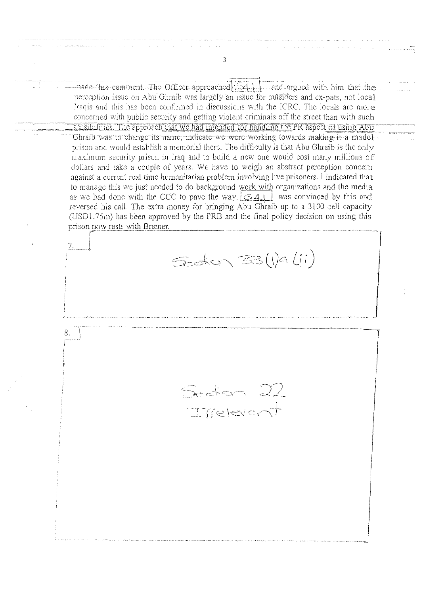$-$ made-this comment. The Officer approached  $\{A_1\}$  and argued with him that the perception issue on Abu Ghraib was largely an issue for outsiders and ex-pats, not local Iraqis and this has been confirmed in discussions with the ICRC. The locals are more concerned with public security and getting violent criminals off the street than with such sensibilities. The approach that we had intended for handling the PR aspect of using Abu Ghraib was to change its name, indicate we were working towards making it a model prison and would establish a memorial there. The difficulty is that Abu Ghraib is the only maximum security prison in Iraq and to build a new one would cost many millions of dollars and take a couple of years. We have to weigh an abstract perception concern against a current real time humanitarian problem involving live prisoners. I indicated that to manage this we just needed to do background work with organizations and the media as we had done with the CCC to pave the way  $\frac{1}{2} \leq 4$  was convinced by this and reversed his call. The extra money for bringing Abu Ghraib up to a 3100 cell capacity (USD1.75m) has been approved by the PRB and the final policy decision on using this prison now rests with Bremer. Edan 33 (1) a (11) 8.  $S$  of  $\sim$ Irrelevent

 $\overline{3}$